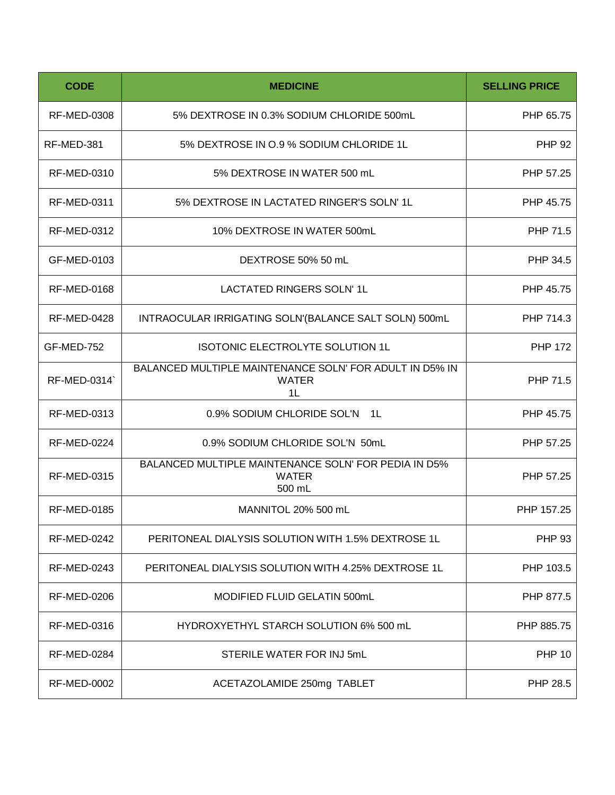| <b>CODE</b>        | <b>MEDICINE</b>                                                                           | <b>SELLING PRICE</b> |
|--------------------|-------------------------------------------------------------------------------------------|----------------------|
| <b>RF-MED-0308</b> | 5% DEXTROSE IN 0.3% SODIUM CHLORIDE 500mL                                                 | PHP 65.75            |
| RF-MED-381         | 5% DEXTROSE IN 0.9 % SODIUM CHLORIDE 1L                                                   | <b>PHP 92</b>        |
| <b>RF-MED-0310</b> | 5% DEXTROSE IN WATER 500 mL                                                               | PHP 57.25            |
| <b>RF-MED-0311</b> | 5% DEXTROSE IN LACTATED RINGER'S SOLN' 1L                                                 | PHP 45.75            |
| <b>RF-MED-0312</b> | 10% DEXTROSE IN WATER 500mL                                                               | PHP 71.5             |
| GF-MED-0103        | DEXTROSE 50% 50 mL                                                                        | PHP 34.5             |
| <b>RF-MED-0168</b> | LACTATED RINGERS SOLN' 1L                                                                 | PHP 45.75            |
| <b>RF-MED-0428</b> | INTRAOCULAR IRRIGATING SOLN'(BALANCE SALT SOLN) 500mL                                     | PHP 714.3            |
| GF-MED-752         | <b>ISOTONIC ELECTROLYTE SOLUTION 1L</b>                                                   | <b>PHP 172</b>       |
| RF-MED-0314`       | BALANCED MULTIPLE MAINTENANCE SOLN' FOR ADULT IN D5% IN<br><b>WATER</b><br>1 <sub>L</sub> | PHP 71.5             |
| <b>RF-MED-0313</b> | 0.9% SODIUM CHLORIDE SOL'N 1L                                                             | PHP 45.75            |
| <b>RF-MED-0224</b> | 0.9% SODIUM CHLORIDE SOL'N 50mL                                                           | PHP 57.25            |
| <b>RF-MED-0315</b> | BALANCED MULTIPLE MAINTENANCE SOLN' FOR PEDIA IN D5%<br><b>WATER</b><br>500 mL            | PHP 57.25            |
| <b>RF-MED-0185</b> | MANNITOL 20% 500 mL                                                                       | PHP 157.25           |
| <b>RF-MED-0242</b> | PERITONEAL DIALYSIS SOLUTION WITH 1.5% DEXTROSE 1L                                        | <b>PHP 93</b>        |
| RF-MED-0243        | PERITONEAL DIALYSIS SOLUTION WITH 4.25% DEXTROSE 1L                                       | PHP 103.5            |
| <b>RF-MED-0206</b> | MODIFIED FLUID GELATIN 500mL                                                              | PHP 877.5            |
| <b>RF-MED-0316</b> | HYDROXYETHYL STARCH SOLUTION 6% 500 mL                                                    | PHP 885.75           |
| <b>RF-MED-0284</b> | STERILE WATER FOR INJ 5mL                                                                 | <b>PHP 10</b>        |
| <b>RF-MED-0002</b> | ACETAZOLAMIDE 250mg TABLET                                                                | PHP 28.5             |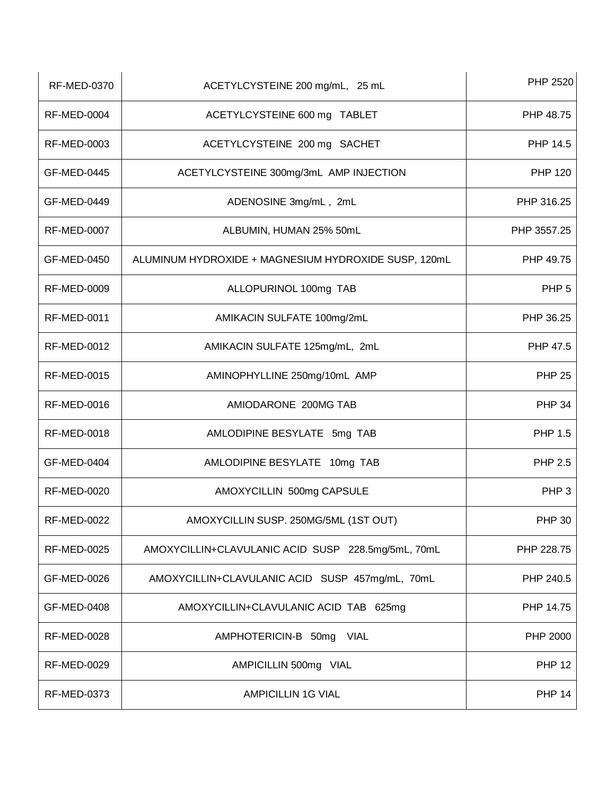| <b>RF-MED-0370</b> | ACETYLCYSTEINE 200 mg/mL, 25 mL                      | PHP 2520         |
|--------------------|------------------------------------------------------|------------------|
| <b>RF-MED-0004</b> | ACETYLCYSTEINE 600 mg TABLET                         | PHP 48.75        |
| <b>RF-MED-0003</b> | ACETYLCYSTEINE 200 mg SACHET                         | PHP 14.5         |
| GF-MED-0445        | ACETYLCYSTEINE 300mg/3mL AMP INJECTION               | <b>PHP 120</b>   |
| GF-MED-0449        | ADENOSINE 3mg/mL, 2mL                                | PHP 316.25       |
| <b>RF-MED-0007</b> | ALBUMIN, HUMAN 25% 50mL                              | PHP 3557.25      |
| GF-MED-0450        | ALUMINUM HYDROXIDE + MAGNESIUM HYDROXIDE SUSP, 120mL | PHP 49.75        |
| <b>RF-MED-0009</b> | ALLOPURINOL 100mg TAB                                | PHP <sub>5</sub> |
| <b>RF-MED-0011</b> | AMIKACIN SULFATE 100mg/2mL                           | PHP 36.25        |
| <b>RF-MED-0012</b> | AMIKACIN SULFATE 125mg/mL, 2mL                       | PHP 47.5         |
| <b>RF-MED-0015</b> | AMINOPHYLLINE 250mg/10mL AMP                         | <b>PHP 25</b>    |
| <b>RF-MED-0016</b> | AMIODARONE 200MG TAB                                 | <b>PHP 34</b>    |
| <b>RF-MED-0018</b> | AMLODIPINE BESYLATE 5mg TAB                          | <b>PHP 1.5</b>   |
| GF-MED-0404        | AMLODIPINE BESYLATE 10mg TAB                         | <b>PHP 2.5</b>   |
| <b>RF-MED-0020</b> | AMOXYCILLIN 500mg CAPSULE                            | PHP <sub>3</sub> |
| <b>RF-MED-0022</b> | AMOXYCILLIN SUSP. 250MG/5ML (1ST OUT)                | PHP 30           |
| <b>RF-MED-0025</b> | AMOXYCILLIN+CLAVULANIC ACID SUSP 228.5mg/5mL, 70mL   | PHP 228.75       |
| GF-MED-0026        | AMOXYCILLIN+CLAVULANIC ACID SUSP 457mg/mL, 70mL      | PHP 240.5        |
| GF-MED-0408        | AMOXYCILLIN+CLAVULANIC ACID TAB 625mg                | PHP 14.75        |
| <b>RF-MED-0028</b> | AMPHOTERICIN-B 50mg<br>VIAL                          | PHP 2000         |
| <b>RF-MED-0029</b> | AMPICILLIN 500mg VIAL                                | <b>PHP 12</b>    |
| <b>RF-MED-0373</b> | <b>AMPICILLIN 1G VIAL</b>                            | <b>PHP 14</b>    |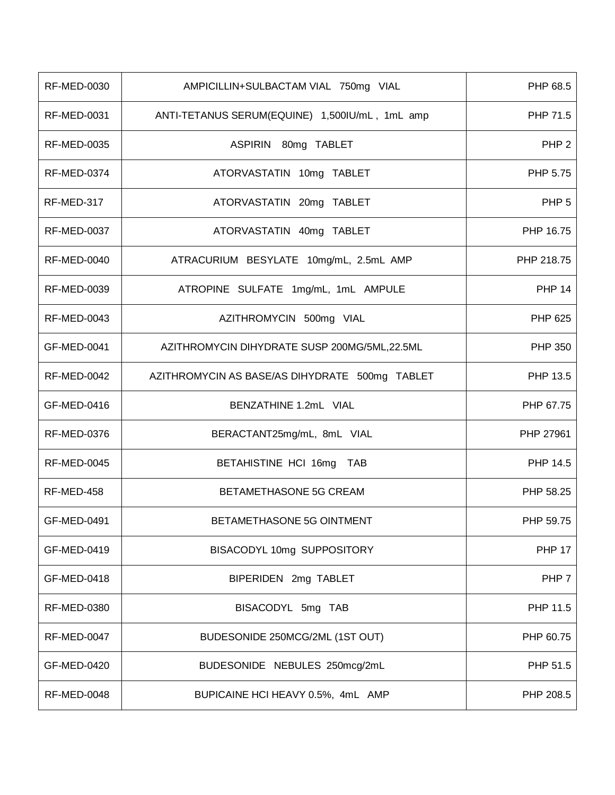| <b>RF-MED-0030</b> | AMPICILLIN+SULBACTAM VIAL 750mg VIAL           | PHP 68.5         |
|--------------------|------------------------------------------------|------------------|
| <b>RF-MED-0031</b> | ANTI-TETANUS SERUM(EQUINE) 1,500IU/mL, 1mL amp | PHP 71.5         |
| <b>RF-MED-0035</b> | ASPIRIN 80mg TABLET                            | PHP <sub>2</sub> |
| <b>RF-MED-0374</b> | ATORVASTATIN 10mg TABLET                       | PHP 5.75         |
| RF-MED-317         | ATORVASTATIN 20mg TABLET                       | PHP <sub>5</sub> |
| <b>RF-MED-0037</b> | ATORVASTATIN 40mg TABLET                       | PHP 16.75        |
| <b>RF-MED-0040</b> | ATRACURIUM BESYLATE 10mg/mL, 2.5mL AMP         | PHP 218.75       |
| RF-MED-0039        | ATROPINE SULFATE 1mg/mL, 1mL AMPULE            | <b>PHP 14</b>    |
| RF-MED-0043        | AZITHROMYCIN 500mg VIAL                        | PHP 625          |
| GF-MED-0041        | AZITHROMYCIN DIHYDRATE SUSP 200MG/5ML,22.5ML   | <b>PHP 350</b>   |
| <b>RF-MED-0042</b> | AZITHROMYCIN AS BASE/AS DIHYDRATE 500mg TABLET | PHP 13.5         |
| GF-MED-0416        | BENZATHINE 1.2mL VIAL                          | PHP 67.75        |
| <b>RF-MED-0376</b> | BERACTANT25mg/mL, 8mL VIAL                     | PHP 27961        |
| <b>RF-MED-0045</b> | BETAHISTINE HCI 16mg TAB                       | PHP 14.5         |
| RF-MED-458         | BETAMETHASONE 5G CREAM                         | PHP 58.25        |
| GF-MED-0491        | BETAMETHASONE 5G OINTMENT                      | PHP 59.75        |
| GF-MED-0419        | BISACODYL 10mg SUPPOSITORY                     | <b>PHP 17</b>    |
| GF-MED-0418        | BIPERIDEN 2mg TABLET                           | PHP 7            |
| <b>RF-MED-0380</b> | BISACODYL 5mg TAB                              | PHP 11.5         |
| <b>RF-MED-0047</b> | BUDESONIDE 250MCG/2ML (1ST OUT)                | PHP 60.75        |
| GF-MED-0420        | BUDESONIDE NEBULES 250mcg/2mL                  | PHP 51.5         |
| <b>RF-MED-0048</b> | BUPICAINE HCI HEAVY 0.5%, 4mL AMP              | PHP 208.5        |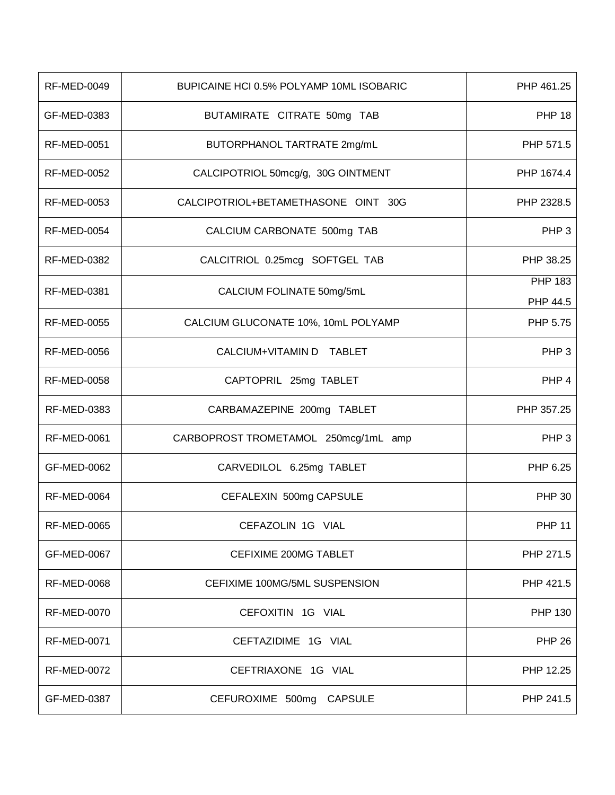| <b>RF-MED-0049</b> | BUPICAINE HCI 0.5% POLYAMP 10ML ISOBARIC | PHP 461.25          |
|--------------------|------------------------------------------|---------------------|
| GF-MED-0383        | BUTAMIRATE CITRATE 50mg TAB              | <b>PHP 18</b>       |
| <b>RF-MED-0051</b> | BUTORPHANOL TARTRATE 2mg/mL              | PHP 571.5           |
| <b>RF-MED-0052</b> | CALCIPOTRIOL 50mcg/g, 30G OINTMENT       | PHP 1674.4          |
| <b>RF-MED-0053</b> | CALCIPOTRIOL+BETAMETHASONE OINT 30G      | PHP 2328.5          |
| <b>RF-MED-0054</b> | CALCIUM CARBONATE 500mg TAB              | PHP <sub>3</sub>    |
| <b>RF-MED-0382</b> | CALCITRIOL 0.25mcg SOFTGEL TAB           | PHP 38.25           |
| <b>RF-MED-0381</b> | CALCIUM FOLINATE 50mg/5mL                | PHP 183<br>PHP 44.5 |
| <b>RF-MED-0055</b> | CALCIUM GLUCONATE 10%, 10mL POLYAMP      | PHP 5.75            |
| <b>RF-MED-0056</b> | CALCIUM+VITAMIN D TABLET                 | PHP <sub>3</sub>    |
| <b>RF-MED-0058</b> | CAPTOPRIL 25mg TABLET                    | PHP <sub>4</sub>    |
| <b>RF-MED-0383</b> | CARBAMAZEPINE 200mg TABLET               | PHP 357.25          |
| <b>RF-MED-0061</b> | CARBOPROST TROMETAMOL 250mcg/1mL amp     | PHP <sub>3</sub>    |
| GF-MED-0062        | CARVEDILOL 6.25mg TABLET                 | PHP 6.25            |
| <b>RF-MED-0064</b> | CEFALEXIN 500mg CAPSULE                  | <b>PHP 30</b>       |
| <b>RF-MED-0065</b> | CEFAZOLIN 1G VIAL                        | <b>PHP 11</b>       |
| GF-MED-0067        | CEFIXIME 200MG TABLET                    | PHP 271.5           |
| RF-MED-0068        | CEFIXIME 100MG/5ML SUSPENSION            | PHP 421.5           |
| <b>RF-MED-0070</b> | CEFOXITIN 1G VIAL                        | <b>PHP 130</b>      |
| <b>RF-MED-0071</b> | CEFTAZIDIME 1G VIAL                      | <b>PHP 26</b>       |
| <b>RF-MED-0072</b> | CEFTRIAXONE 1G VIAL                      | PHP 12.25           |
| GF-MED-0387        | CEFUROXIME 500mg CAPSULE                 | PHP 241.5           |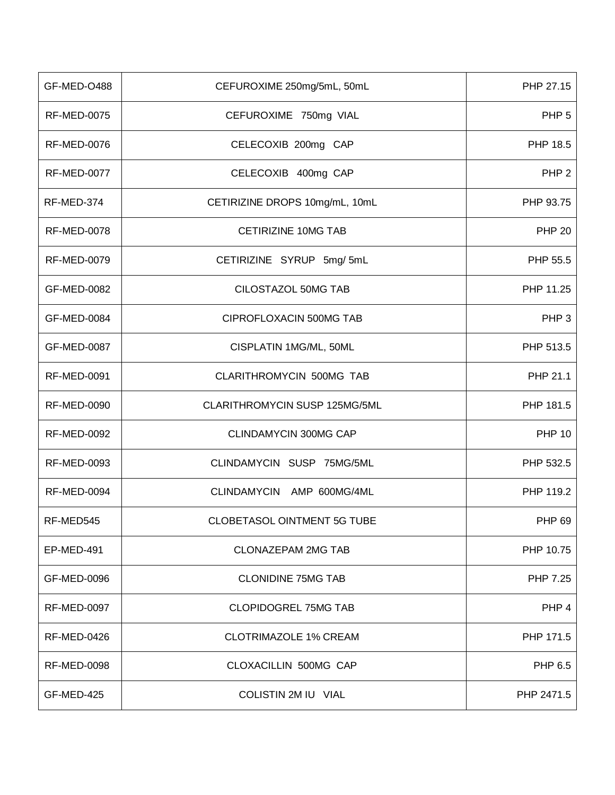| GF-MED-O488        | CEFUROXIME 250mg/5mL, 50mL     | PHP 27.15        |
|--------------------|--------------------------------|------------------|
| <b>RF-MED-0075</b> | CEFUROXIME 750mg VIAL          | PHP <sub>5</sub> |
| <b>RF-MED-0076</b> | CELECOXIB 200mg CAP            | PHP 18.5         |
| <b>RF-MED-0077</b> | CELECOXIB 400mg CAP            | PHP <sub>2</sub> |
| RF-MED-374         | CETIRIZINE DROPS 10mg/mL, 10mL | PHP 93.75        |
| <b>RF-MED-0078</b> | CETIRIZINE 10MG TAB            | <b>PHP 20</b>    |
| <b>RF-MED-0079</b> | CETIRIZINE SYRUP 5mg/5mL       | PHP 55.5         |
| GF-MED-0082        | CILOSTAZOL 50MG TAB            | PHP 11.25        |
| GF-MED-0084        | CIPROFLOXACIN 500MG TAB        | PHP <sub>3</sub> |
| GF-MED-0087        | CISPLATIN 1MG/ML, 50ML         | PHP 513.5        |
| <b>RF-MED-0091</b> | CLARITHROMYCIN 500MG TAB       | PHP 21.1         |
| <b>RF-MED-0090</b> | CLARITHROMYCIN SUSP 125MG/5ML  | PHP 181.5        |
| <b>RF-MED-0092</b> | <b>CLINDAMYCIN 300MG CAP</b>   | <b>PHP 10</b>    |
| <b>RF-MED-0093</b> | CLINDAMYCIN SUSP 75MG/5ML      | PHP 532.5        |
| <b>RF-MED-0094</b> | CLINDAMYCIN AMP 600MG/4ML      | PHP 119.2        |
| RF-MED545          | CLOBETASOL OINTMENT 5G TUBE    | <b>PHP 69</b>    |
| EP-MED-491         | CLONAZEPAM 2MG TAB             | PHP 10.75        |
| GF-MED-0096        | <b>CLONIDINE 75MG TAB</b>      | PHP 7.25         |
| <b>RF-MED-0097</b> | <b>CLOPIDOGREL 75MG TAB</b>    | PHP 4            |
| <b>RF-MED-0426</b> | <b>CLOTRIMAZOLE 1% CREAM</b>   | PHP 171.5        |
| RF-MED-0098        | <b>CLOXACILLIN 500MG CAP</b>   | PHP 6.5          |
| GF-MED-425         | COLISTIN 2M IU VIAL            | PHP 2471.5       |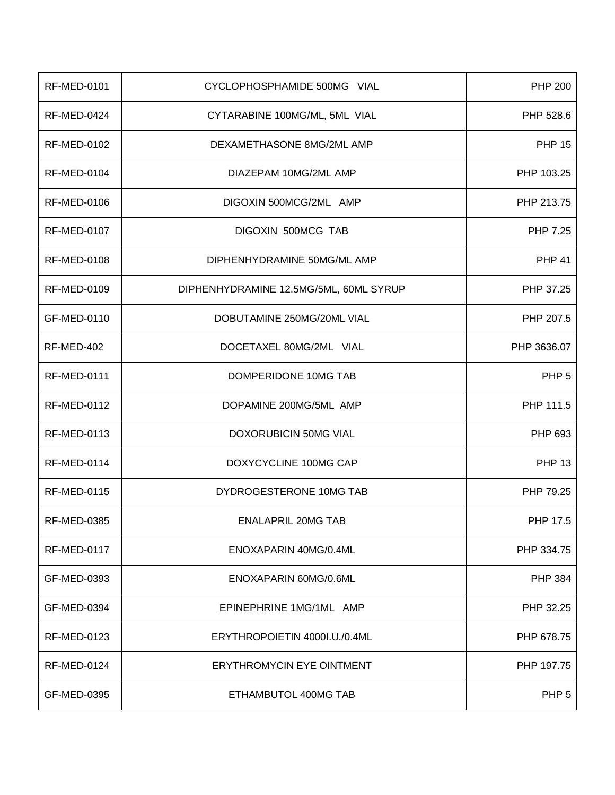| <b>RF-MED-0101</b> | CYCLOPHOSPHAMIDE 500MG VIAL            | <b>PHP 200</b>   |
|--------------------|----------------------------------------|------------------|
| <b>RF-MED-0424</b> | CYTARABINE 100MG/ML, 5ML VIAL          | PHP 528.6        |
| RF-MED-0102        | DEXAMETHASONE 8MG/2ML AMP              | <b>PHP 15</b>    |
| <b>RF-MED-0104</b> | DIAZEPAM 10MG/2ML AMP                  | PHP 103.25       |
| RF-MED-0106        | DIGOXIN 500MCG/2ML AMP                 | PHP 213.75       |
| <b>RF-MED-0107</b> | DIGOXIN 500MCG TAB                     | PHP 7.25         |
| RF-MED-0108        | DIPHENHYDRAMINE 50MG/ML AMP            | <b>PHP 41</b>    |
| RF-MED-0109        | DIPHENHYDRAMINE 12.5MG/5ML, 60ML SYRUP | PHP 37.25        |
| GF-MED-0110        | DOBUTAMINE 250MG/20ML VIAL             | PHP 207.5        |
| RF-MED-402         | DOCETAXEL 80MG/2ML VIAL                | PHP 3636.07      |
| <b>RF-MED-0111</b> | DOMPERIDONE 10MG TAB                   | PHP <sub>5</sub> |
| <b>RF-MED-0112</b> | DOPAMINE 200MG/5ML AMP                 | PHP 111.5        |
| <b>RF-MED-0113</b> | <b>DOXORUBICIN 50MG VIAL</b>           | PHP 693          |
| <b>RF-MED-0114</b> | DOXYCYCLINE 100MG CAP                  | <b>PHP 13</b>    |
| <b>RF-MED-0115</b> | DYDROGESTERONE 10MG TAB                | PHP 79.25        |
| RF-MED-0385        | ENALAPRIL 20MG TAB                     | PHP 17.5         |
| RF-MED-0117        | ENOXAPARIN 40MG/0.4ML                  | PHP 334.75       |
| GF-MED-0393        | ENOXAPARIN 60MG/0.6ML                  | <b>PHP 384</b>   |
| GF-MED-0394        | EPINEPHRINE 1MG/1ML AMP                | PHP 32.25        |
| <b>RF-MED-0123</b> | ERYTHROPOIETIN 4000I.U./0.4ML          | PHP 678.75       |
| RF-MED-0124        | ERYTHROMYCIN EYE OINTMENT              | PHP 197.75       |
| GF-MED-0395        | ETHAMBUTOL 400MG TAB                   | PHP <sub>5</sub> |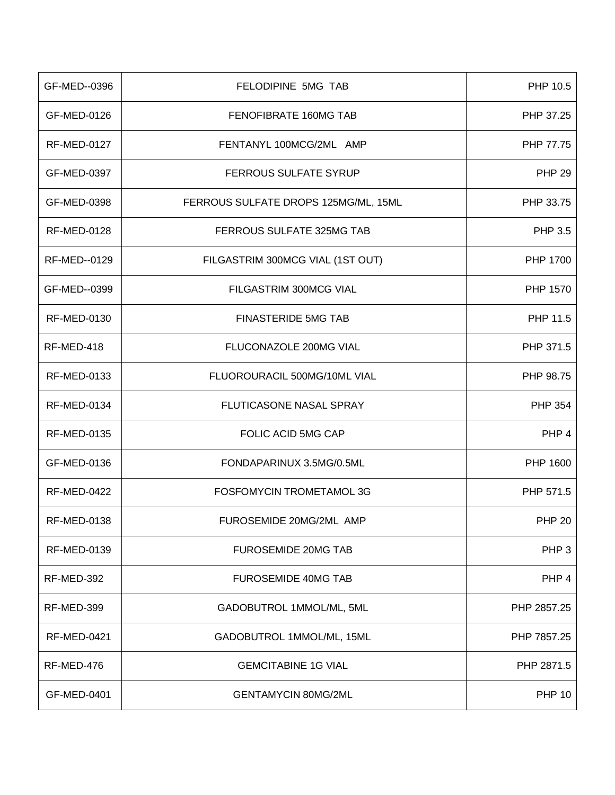| GF-MED--0396       | FELODIPINE 5MG TAB                   | PHP 10.5         |
|--------------------|--------------------------------------|------------------|
| GF-MED-0126        | FENOFIBRATE 160MG TAB                | PHP 37.25        |
| <b>RF-MED-0127</b> | FENTANYL 100MCG/2ML AMP              | PHP 77.75        |
| GF-MED-0397        | FERROUS SULFATE SYRUP                | <b>PHP 29</b>    |
| GF-MED-0398        | FERROUS SULFATE DROPS 125MG/ML, 15ML | PHP 33.75        |
| <b>RF-MED-0128</b> | FERROUS SULFATE 325MG TAB            | <b>PHP 3.5</b>   |
| RF-MED--0129       | FILGASTRIM 300MCG VIAL (1ST OUT)     | PHP 1700         |
| GF-MED--0399       | FILGASTRIM 300MCG VIAL               | PHP 1570         |
| <b>RF-MED-0130</b> | <b>FINASTERIDE 5MG TAB</b>           | PHP 11.5         |
| RF-MED-418         | FLUCONAZOLE 200MG VIAL               | PHP 371.5        |
| <b>RF-MED-0133</b> | FLUOROURACIL 500MG/10ML VIAL         | PHP 98.75        |
| <b>RF-MED-0134</b> | FLUTICASONE NASAL SPRAY              | <b>PHP 354</b>   |
| <b>RF-MED-0135</b> | <b>FOLIC ACID 5MG CAP</b>            | PHP <sub>4</sub> |
| GF-MED-0136        | FONDAPARINUX 3.5MG/0.5ML             | PHP 1600         |
| <b>RF-MED-0422</b> | FOSFOMYCIN TROMETAMOL 3G             | PHP 571.5        |
| RF-MED-0138        | FUROSEMIDE 20MG/2ML AMP              | <b>PHP 20</b>    |
| <b>RF-MED-0139</b> | <b>FUROSEMIDE 20MG TAB</b>           | PHP <sub>3</sub> |
| RF-MED-392         | <b>FUROSEMIDE 40MG TAB</b>           | PHP 4            |
| RF-MED-399         | GADOBUTROL 1MMOL/ML, 5ML             | PHP 2857.25      |
| <b>RF-MED-0421</b> | GADOBUTROL 1MMOL/ML, 15ML            | PHP 7857.25      |
| RF-MED-476         | <b>GEMCITABINE 1G VIAL</b>           | PHP 2871.5       |
| GF-MED-0401        | <b>GENTAMYCIN 80MG/2ML</b>           | <b>PHP 10</b>    |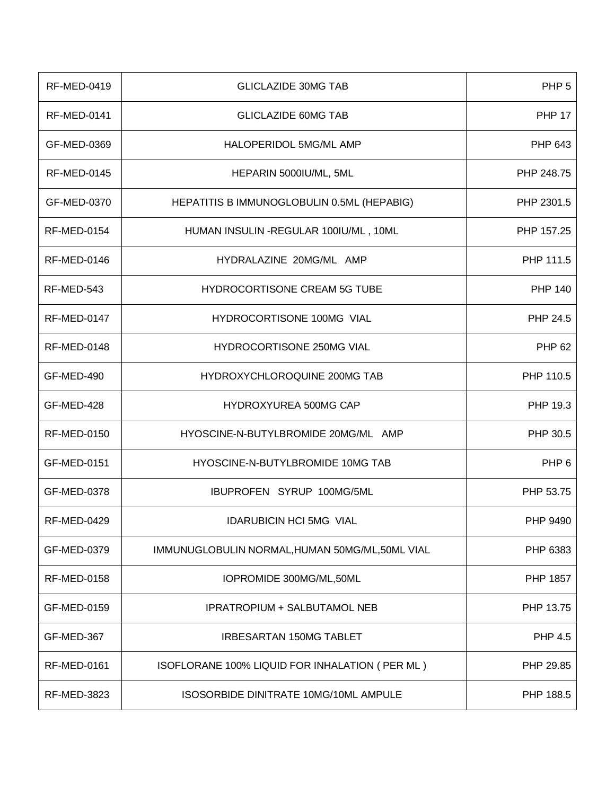| <b>RF-MED-0419</b> | <b>GLICLAZIDE 30MG TAB</b>                       | PHP <sub>5</sub> |
|--------------------|--------------------------------------------------|------------------|
| <b>RF-MED-0141</b> | <b>GLICLAZIDE 60MG TAB</b>                       | <b>PHP 17</b>    |
| GF-MED-0369        | HALOPERIDOL 5MG/ML AMP                           | PHP 643          |
| <b>RF-MED-0145</b> | HEPARIN 5000IU/ML, 5ML                           | PHP 248.75       |
| GF-MED-0370        | HEPATITIS B IMMUNOGLOBULIN 0.5ML (HEPABIG)       | PHP 2301.5       |
| <b>RF-MED-0154</b> | HUMAN INSULIN - REGULAR 100IU/ML, 10ML           | PHP 157.25       |
| <b>RF-MED-0146</b> | HYDRALAZINE 20MG/ML AMP                          | PHP 111.5        |
| RF-MED-543         | <b>HYDROCORTISONE CREAM 5G TUBE</b>              | <b>PHP 140</b>   |
| <b>RF-MED-0147</b> | HYDROCORTISONE 100MG VIAL                        | PHP 24.5         |
| <b>RF-MED-0148</b> | HYDROCORTISONE 250MG VIAL                        | <b>PHP 62</b>    |
| GF-MED-490         | HYDROXYCHLOROQUINE 200MG TAB                     | PHP 110.5        |
| GF-MED-428         | <b>HYDROXYUREA 500MG CAP</b>                     | PHP 19.3         |
| <b>RF-MED-0150</b> | HYOSCINE-N-BUTYLBROMIDE 20MG/ML AMP              | PHP 30.5         |
| GF-MED-0151        | HYOSCINE-N-BUTYLBROMIDE 10MG TAB                 | PHP <sub>6</sub> |
| GF-MED-0378        | IBUPROFEN SYRUP 100MG/5ML                        | PHP 53.75        |
| <b>RF-MED-0429</b> | <b>IDARUBICIN HCI 5MG VIAL</b>                   | PHP 9490         |
| GF-MED-0379        | IMMUNUGLOBULIN NORMAL, HUMAN 50MG/ML, 50ML VIAL  | PHP 6383         |
| <b>RF-MED-0158</b> | IOPROMIDE 300MG/ML,50ML                          | PHP 1857         |
| GF-MED-0159        | <b>IPRATROPIUM + SALBUTAMOL NEB</b>              | PHP 13.75        |
| GF-MED-367         | <b>IRBESARTAN 150MG TABLET</b>                   | <b>PHP 4.5</b>   |
| <b>RF-MED-0161</b> | ISOFLORANE 100% LIQUID FOR INHALATION ( PER ML ) | PHP 29.85        |
| <b>RF-MED-3823</b> | ISOSORBIDE DINITRATE 10MG/10ML AMPULE            | PHP 188.5        |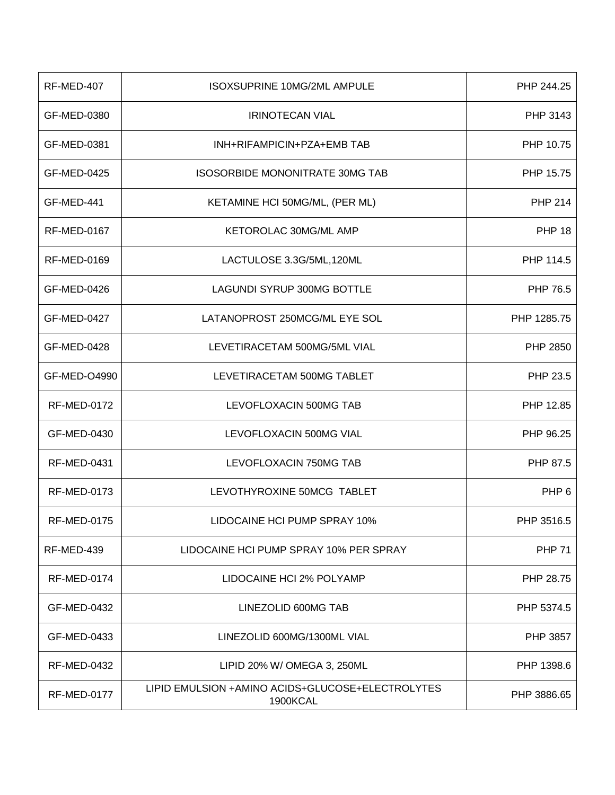| RF-MED-407         | <b>ISOXSUPRINE 10MG/2ML AMPULE</b>                           | PHP 244.25       |
|--------------------|--------------------------------------------------------------|------------------|
| GF-MED-0380        | <b>IRINOTECAN VIAL</b>                                       | PHP 3143         |
| GF-MED-0381        | INH+RIFAMPICIN+PZA+EMB TAB                                   | PHP 10.75        |
| GF-MED-0425        | <b>ISOSORBIDE MONONITRATE 30MG TAB</b>                       | PHP 15.75        |
| GF-MED-441         | KETAMINE HCI 50MG/ML, (PER ML)                               | <b>PHP 214</b>   |
| <b>RF-MED-0167</b> | KETOROLAC 30MG/ML AMP                                        | <b>PHP 18</b>    |
| <b>RF-MED-0169</b> | LACTULOSE 3.3G/5ML, 120ML                                    | PHP 114.5        |
| GF-MED-0426        | <b>LAGUNDI SYRUP 300MG BOTTLE</b>                            | PHP 76.5         |
| GF-MED-0427        | LATANOPROST 250MCG/ML EYE SOL                                | PHP 1285.75      |
| <b>GF-MED-0428</b> | LEVETIRACETAM 500MG/5ML VIAL                                 | PHP 2850         |
| GF-MED-O4990       | LEVETIRACETAM 500MG TABLET                                   | PHP 23.5         |
| <b>RF-MED-0172</b> | LEVOFLOXACIN 500MG TAB                                       | PHP 12.85        |
| GF-MED-0430        | LEVOFLOXACIN 500MG VIAL                                      | PHP 96.25        |
| <b>RF-MED-0431</b> | LEVOFLOXACIN 750MG TAB                                       | PHP 87.5         |
| <b>RF-MED-0173</b> | LEVOTHYROXINE 50MCG TABLET                                   | PHP <sub>6</sub> |
| RF-MED-0175        | LIDOCAINE HCI PUMP SPRAY 10%                                 | PHP 3516.5       |
| RF-MED-439         | LIDOCAINE HCI PUMP SPRAY 10% PER SPRAY                       | <b>PHP 71</b>    |
| <b>RF-MED-0174</b> | LIDOCAINE HCI 2% POLYAMP                                     | PHP 28.75        |
| GF-MED-0432        | LINEZOLID 600MG TAB                                          | PHP 5374.5       |
| GF-MED-0433        | LINEZOLID 600MG/1300ML VIAL                                  | PHP 3857         |
| <b>RF-MED-0432</b> | LIPID 20% W/ OMEGA 3, 250ML                                  | PHP 1398.6       |
| <b>RF-MED-0177</b> | LIPID EMULSION +AMINO ACIDS+GLUCOSE+ELECTROLYTES<br>1900KCAL | PHP 3886.65      |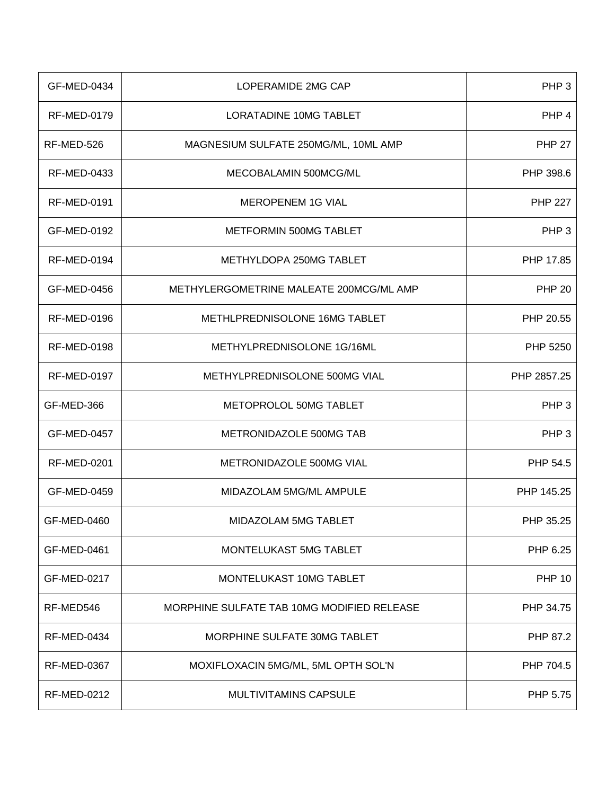| GF-MED-0434        | LOPERAMIDE 2MG CAP                         | PHP <sub>3</sub> |
|--------------------|--------------------------------------------|------------------|
| <b>RF-MED-0179</b> | LORATADINE 10MG TABLET                     | PHP 4            |
| RF-MED-526         | MAGNESIUM SULFATE 250MG/ML, 10ML AMP       | <b>PHP 27</b>    |
| <b>RF-MED-0433</b> | MECOBALAMIN 500MCG/ML                      | PHP 398.6        |
| <b>RF-MED-0191</b> | MEROPENEM 1G VIAL                          | <b>PHP 227</b>   |
| GF-MED-0192        | METFORMIN 500MG TABLET                     | PHP <sub>3</sub> |
| <b>RF-MED-0194</b> | METHYLDOPA 250MG TABLET                    | PHP 17.85        |
| GF-MED-0456        | METHYLERGOMETRINE MALEATE 200MCG/ML AMP    | <b>PHP 20</b>    |
| <b>RF-MED-0196</b> | METHLPREDNISOLONE 16MG TABLET              | PHP 20.55        |
| <b>RF-MED-0198</b> | METHYLPREDNISOLONE 1G/16ML                 | PHP 5250         |
| <b>RF-MED-0197</b> | METHYLPREDNISOLONE 500MG VIAL              | PHP 2857.25      |
| GF-MED-366         | METOPROLOL 50MG TABLET                     | PHP <sub>3</sub> |
| GF-MED-0457        | METRONIDAZOLE 500MG TAB                    | PHP <sub>3</sub> |
| <b>RF-MED-0201</b> | METRONIDAZOLE 500MG VIAL                   | PHP 54.5         |
| GF-MED-0459        | MIDAZOLAM 5MG/ML AMPULE                    | PHP 145.25       |
| GF-MED-0460        | MIDAZOLAM 5MG TABLET                       | PHP 35.25        |
| GF-MED-0461        | MONTELUKAST 5MG TABLET                     | PHP 6.25         |
| GF-MED-0217        | MONTELUKAST 10MG TABLET                    | <b>PHP 10</b>    |
| RF-MED546          | MORPHINE SULFATE TAB 10MG MODIFIED RELEASE | PHP 34.75        |
| <b>RF-MED-0434</b> | MORPHINE SULFATE 30MG TABLET               | PHP 87.2         |
| RF-MED-0367        | MOXIFLOXACIN 5MG/ML, 5ML OPTH SOL'N        | PHP 704.5        |
| <b>RF-MED-0212</b> | <b>MULTIVITAMINS CAPSULE</b>               | PHP 5.75         |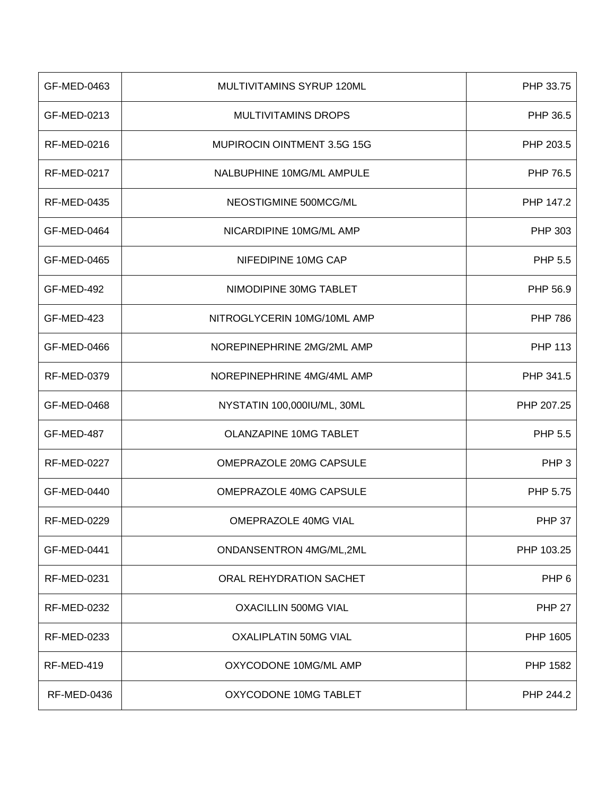| GF-MED-0463        | MULTIVITAMINS SYRUP 120ML          | PHP 33.75        |
|--------------------|------------------------------------|------------------|
| GF-MED-0213        | <b>MULTIVITAMINS DROPS</b>         | PHP 36.5         |
| RF-MED-0216        | <b>MUPIROCIN OINTMENT 3.5G 15G</b> | PHP 203.5        |
| <b>RF-MED-0217</b> | NALBUPHINE 10MG/ML AMPULE          | PHP 76.5         |
| RF-MED-0435        | NEOSTIGMINE 500MCG/ML              | PHP 147.2        |
| GF-MED-0464        | NICARDIPINE 10MG/ML AMP            | PHP 303          |
| GF-MED-0465        | NIFEDIPINE 10MG CAP                | PHP 5.5          |
| GF-MED-492         | NIMODIPINE 30MG TABLET             | PHP 56.9         |
| GF-MED-423         | NITROGLYCERIN 10MG/10ML AMP        | <b>PHP 786</b>   |
| GF-MED-0466        | NOREPINEPHRINE 2MG/2ML AMP         | <b>PHP 113</b>   |
| <b>RF-MED-0379</b> | NOREPINEPHRINE 4MG/4ML AMP         | PHP 341.5        |
| GF-MED-0468        | NYSTATIN 100,000IU/ML, 30ML        | PHP 207.25       |
| GF-MED-487         | <b>OLANZAPINE 10MG TABLET</b>      | PHP 5.5          |
| <b>RF-MED-0227</b> | OMEPRAZOLE 20MG CAPSULE            | PHP <sub>3</sub> |
| GF-MED-0440        | OMEPRAZOLE 40MG CAPSULE            | PHP 5.75         |
| RF-MED-0229        | <b>OMEPRAZOLE 40MG VIAL</b>        | <b>PHP 37</b>    |
| GF-MED-0441        | ONDANSENTRON 4MG/ML,2ML            | PHP 103.25       |
| <b>RF-MED-0231</b> | ORAL REHYDRATION SACHET            | PHP 6            |
| <b>RF-MED-0232</b> | <b>OXACILLIN 500MG VIAL</b>        | <b>PHP 27</b>    |
| <b>RF-MED-0233</b> | <b>OXALIPLATIN 50MG VIAL</b>       | PHP 1605         |
| RF-MED-419         | OXYCODONE 10MG/ML AMP              | PHP 1582         |
| <b>RF-MED-0436</b> | OXYCODONE 10MG TABLET              | PHP 244.2        |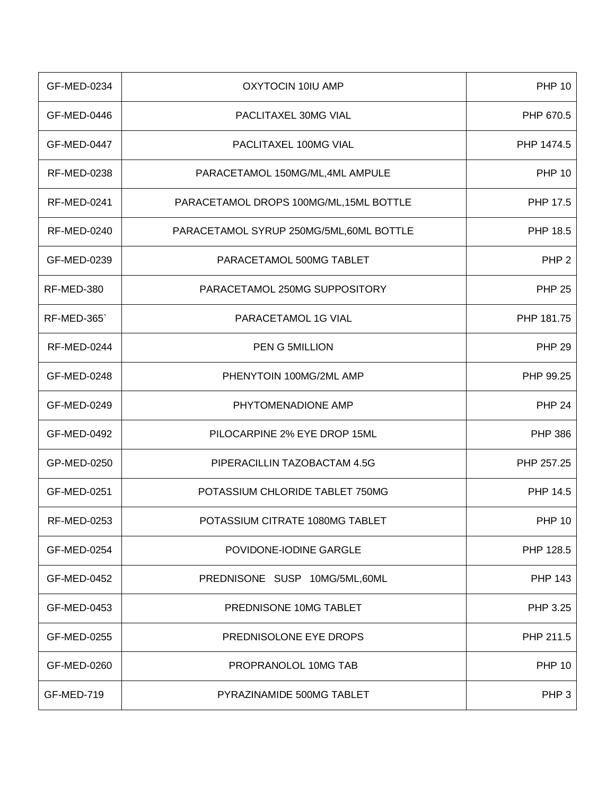| GF-MED-0234        | OXYTOCIN 10IU AMP                        | <b>PHP 10</b>    |
|--------------------|------------------------------------------|------------------|
| GF-MED-0446        | PACLITAXEL 30MG VIAL                     | PHP 670.5        |
| GF-MED-0447        | PACLITAXEL 100MG VIAL                    | PHP 1474.5       |
| <b>RF-MED-0238</b> | PARACETAMOL 150MG/ML,4ML AMPULE          | <b>PHP 10</b>    |
| <b>RF-MED-0241</b> | PARACETAMOL DROPS 100MG/ML, 15ML BOTTLE  | PHP 17.5         |
| <b>RF-MED-0240</b> | PARACETAMOL SYRUP 250MG/5ML, 60ML BOTTLE | PHP 18.5         |
| GF-MED-0239        | PARACETAMOL 500MG TABLET                 | PHP <sub>2</sub> |
| RF-MED-380         | PARACETAMOL 250MG SUPPOSITORY            | <b>PHP 25</b>    |
| <b>RF-MED-365</b>  | PARACETAMOL 1G VIAL                      | PHP 181.75       |
| <b>RF-MED-0244</b> | <b>PEN G 5MILLION</b>                    | <b>PHP 29</b>    |
| GF-MED-0248        | PHENYTOIN 100MG/2ML AMP                  | PHP 99.25        |
| GF-MED-0249        | PHYTOMENADIONE AMP                       | <b>PHP 24</b>    |
| GF-MED-0492        | PILOCARPINE 2% EYE DROP 15ML             | <b>PHP 386</b>   |
| GP-MED-0250        | PIPERACILLIN TAZOBACTAM 4.5G             | PHP 257.25       |
| GF-MED-0251        | POTASSIUM CHLORIDE TABLET 750MG          | PHP 14.5         |
| RF-MED-0253        | POTASSIUM CITRATE 1080MG TABLET          | <b>PHP 10</b>    |
| GF-MED-0254        | POVIDONE-IODINE GARGLE                   | PHP 128.5        |
| GF-MED-0452        | PREDNISONE SUSP 10MG/5ML,60ML            | <b>PHP 143</b>   |
| GF-MED-0453        | PREDNISONE 10MG TABLET                   | PHP 3.25         |
| GF-MED-0255        | PREDNISOLONE EYE DROPS                   | PHP 211.5        |
| GF-MED-0260        | PROPRANOLOL 10MG TAB                     | <b>PHP 10</b>    |
| GF-MED-719         | PYRAZINAMIDE 500MG TABLET                | PHP 3            |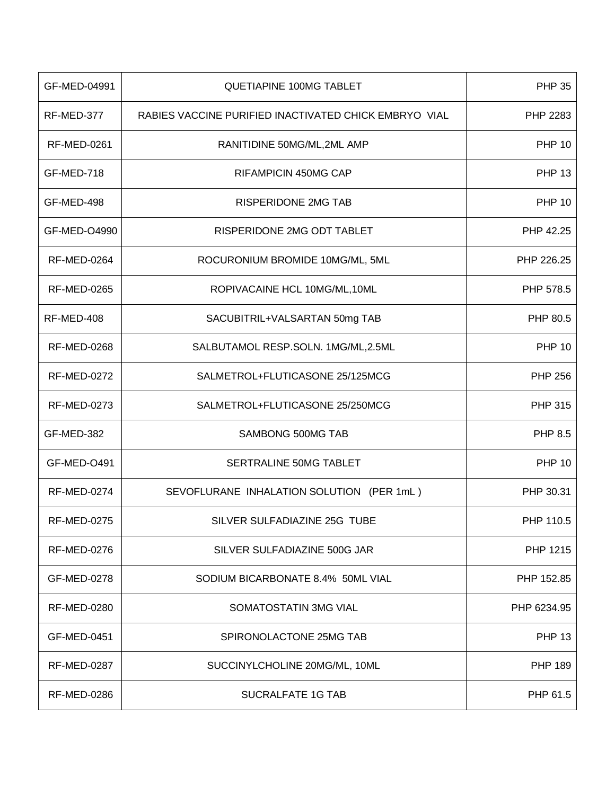| GF-MED-04991       | <b>QUETIAPINE 100MG TABLET</b>                        | <b>PHP 35</b>  |
|--------------------|-------------------------------------------------------|----------------|
| RF-MED-377         | RABIES VACCINE PURIFIED INACTIVATED CHICK EMBRYO VIAL | PHP 2283       |
| <b>RF-MED-0261</b> | RANITIDINE 50MG/ML,2ML AMP                            | <b>PHP 10</b>  |
| GF-MED-718         | <b>RIFAMPICIN 450MG CAP</b>                           | <b>PHP 13</b>  |
| GF-MED-498         | <b>RISPERIDONE 2MG TAB</b>                            | <b>PHP 10</b>  |
| GF-MED-O4990       | RISPERIDONE 2MG ODT TABLET                            | PHP 42.25      |
| <b>RF-MED-0264</b> | ROCURONIUM BROMIDE 10MG/ML, 5ML                       | PHP 226.25     |
| <b>RF-MED-0265</b> | ROPIVACAINE HCL 10MG/ML, 10ML                         | PHP 578.5      |
| RF-MED-408         | SACUBITRIL+VALSARTAN 50mg TAB                         | PHP 80.5       |
| <b>RF-MED-0268</b> | SALBUTAMOL RESP.SOLN. 1MG/ML,2.5ML                    | <b>PHP 10</b>  |
| <b>RF-MED-0272</b> | SALMETROL+FLUTICASONE 25/125MCG                       | <b>PHP 256</b> |
| <b>RF-MED-0273</b> | SALMETROL+FLUTICASONE 25/250MCG                       | <b>PHP 315</b> |
| GF-MED-382         | SAMBONG 500MG TAB                                     | <b>PHP 8.5</b> |
| GF-MED-O491        | SERTRALINE 50MG TABLET                                | <b>PHP 10</b>  |
| <b>RF-MED-0274</b> | SEVOFLURANE INHALATION SOLUTION (PER 1mL)             | PHP 30.31      |
| RF-MED-0275        | SILVER SULFADIAZINE 25G TUBE                          | PHP 110.5      |
| <b>RF-MED-0276</b> | SILVER SULFADIAZINE 500G JAR                          | PHP 1215       |
| GF-MED-0278        | SODIUM BICARBONATE 8.4% 50ML VIAL                     | PHP 152.85     |
| <b>RF-MED-0280</b> | SOMATOSTATIN 3MG VIAL                                 | PHP 6234.95    |
| GF-MED-0451        | SPIRONOLACTONE 25MG TAB                               | <b>PHP 13</b>  |
| <b>RF-MED-0287</b> | SUCCINYLCHOLINE 20MG/ML, 10ML                         | <b>PHP 189</b> |
| <b>RF-MED-0286</b> | SUCRALFATE 1G TAB                                     | PHP 61.5       |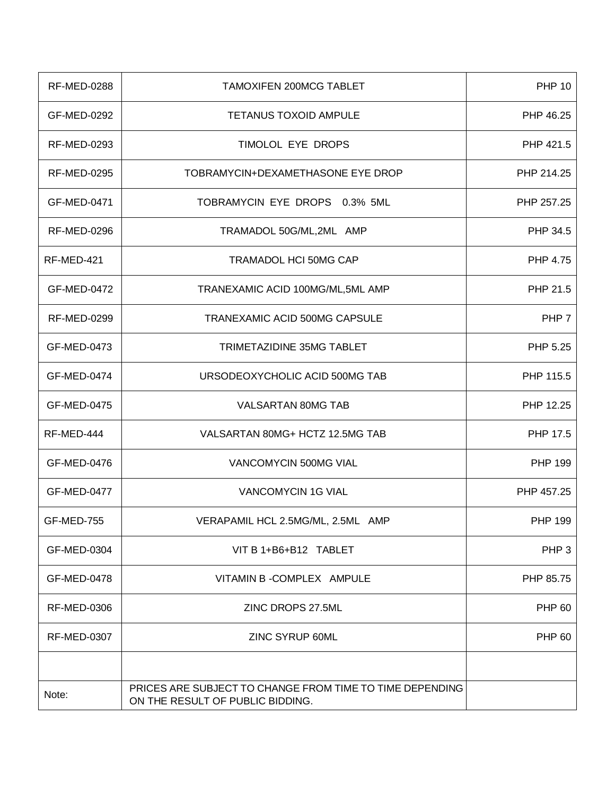| <b>RF-MED-0288</b> | <b>TAMOXIFEN 200MCG TABLET</b>                                                               | <b>PHP 10</b>    |
|--------------------|----------------------------------------------------------------------------------------------|------------------|
| GF-MED-0292        | <b>TETANUS TOXOID AMPULE</b>                                                                 | PHP 46.25        |
| RF-MED-0293        | TIMOLOL EYE DROPS                                                                            | PHP 421.5        |
| <b>RF-MED-0295</b> | TOBRAMYCIN+DEXAMETHASONE EYE DROP                                                            | PHP 214.25       |
| GF-MED-0471        | TOBRAMYCIN EYE DROPS 0.3% 5ML                                                                | PHP 257.25       |
| <b>RF-MED-0296</b> | TRAMADOL 50G/ML,2ML AMP                                                                      | PHP 34.5         |
| RF-MED-421         | <b>TRAMADOL HCI 50MG CAP</b>                                                                 | PHP 4.75         |
| GF-MED-0472        | TRANEXAMIC ACID 100MG/ML, 5ML AMP                                                            | PHP 21.5         |
| <b>RF-MED-0299</b> | TRANEXAMIC ACID 500MG CAPSULE                                                                | PHP 7            |
| GF-MED-0473        | TRIMETAZIDINE 35MG TABLET                                                                    | PHP 5.25         |
| GF-MED-0474        | URSODEOXYCHOLIC ACID 500MG TAB                                                               | PHP 115.5        |
| GF-MED-0475        | VALSARTAN 80MG TAB                                                                           | PHP 12.25        |
| RF-MED-444         | VALSARTAN 80MG+ HCTZ 12.5MG TAB                                                              | PHP 17.5         |
| GF-MED-0476        | VANCOMYCIN 500MG VIAL                                                                        | <b>PHP 199</b>   |
| GF-MED-0477        | <b>VANCOMYCIN 1G VIAL</b>                                                                    | PHP 457.25       |
| GF-MED-755         | VERAPAMIL HCL 2.5MG/ML, 2.5ML AMP                                                            | PHP 199          |
| GF-MED-0304        | VIT B 1+B6+B12 TABLET                                                                        | PHP <sub>3</sub> |
| GF-MED-0478        | VITAMIN B - COMPLEX AMPULE                                                                   | PHP 85.75        |
| <b>RF-MED-0306</b> | ZINC DROPS 27.5ML                                                                            | <b>PHP 60</b>    |
| <b>RF-MED-0307</b> | ZINC SYRUP 60ML                                                                              | <b>PHP 60</b>    |
|                    |                                                                                              |                  |
| Note:              | PRICES ARE SUBJECT TO CHANGE FROM TIME TO TIME DEPENDING<br>ON THE RESULT OF PUBLIC BIDDING. |                  |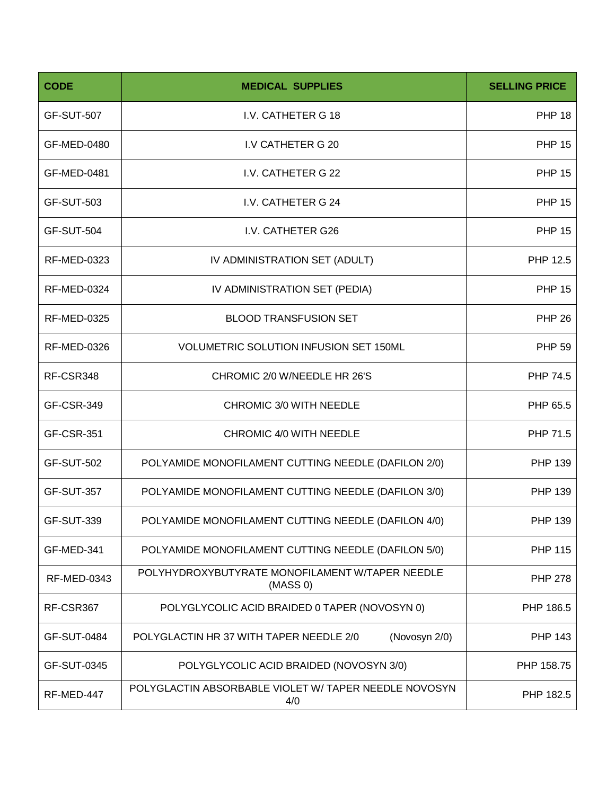| <b>CODE</b>        | <b>MEDICAL SUPPLIES</b>                                      | <b>SELLING PRICE</b> |
|--------------------|--------------------------------------------------------------|----------------------|
| <b>GF-SUT-507</b>  | I.V. CATHETER G 18                                           | <b>PHP 18</b>        |
| GF-MED-0480        | I.V CATHETER G 20                                            | <b>PHP 15</b>        |
| GF-MED-0481        | I.V. CATHETER G 22                                           | <b>PHP 15</b>        |
| <b>GF-SUT-503</b>  | I.V. CATHETER G 24                                           | <b>PHP 15</b>        |
| <b>GF-SUT-504</b>  | I.V. CATHETER G26                                            | <b>PHP 15</b>        |
| <b>RF-MED-0323</b> | IV ADMINISTRATION SET (ADULT)                                | PHP 12.5             |
| <b>RF-MED-0324</b> | IV ADMINISTRATION SET (PEDIA)                                | <b>PHP 15</b>        |
| <b>RF-MED-0325</b> | <b>BLOOD TRANSFUSION SET</b>                                 | <b>PHP 26</b>        |
| <b>RF-MED-0326</b> | <b>VOLUMETRIC SOLUTION INFUSION SET 150ML</b>                | <b>PHP 59</b>        |
| RF-CSR348          | CHROMIC 2/0 W/NEEDLE HR 26'S                                 | PHP 74.5             |
| <b>GF-CSR-349</b>  | CHROMIC 3/0 WITH NEEDLE                                      | PHP 65.5             |
| <b>GF-CSR-351</b>  | CHROMIC 4/0 WITH NEEDLE                                      | PHP 71.5             |
| <b>GF-SUT-502</b>  | POLYAMIDE MONOFILAMENT CUTTING NEEDLE (DAFILON 2/0)          | <b>PHP 139</b>       |
| <b>GF-SUT-357</b>  | POLYAMIDE MONOFILAMENT CUTTING NEEDLE (DAFILON 3/0)          | <b>PHP 139</b>       |
| GF-SUT-339         | POLYAMIDE MONOFILAMENT CUTTING NEEDLE (DAFILON 4/0)          | PHP 139              |
| GF-MED-341         | POLYAMIDE MONOFILAMENT CUTTING NEEDLE (DAFILON 5/0)          | <b>PHP 115</b>       |
| RF-MED-0343        | POLYHYDROXYBUTYRATE MONOFILAMENT W/TAPER NEEDLE<br>(MASS 0)  | <b>PHP 278</b>       |
| RF-CSR367          | POLYGLYCOLIC ACID BRAIDED 0 TAPER (NOVOSYN 0)                | PHP 186.5            |
| <b>GF-SUT-0484</b> | (Novosyn 2/0)<br>POLYGLACTIN HR 37 WITH TAPER NEEDLE 2/0     | PHP 143              |
| GF-SUT-0345        | POLYGLYCOLIC ACID BRAIDED (NOVOSYN 3/0)                      | PHP 158.75           |
| RF-MED-447         | POLYGLACTIN ABSORBABLE VIOLET W/ TAPER NEEDLE NOVOSYN<br>4/0 | PHP 182.5            |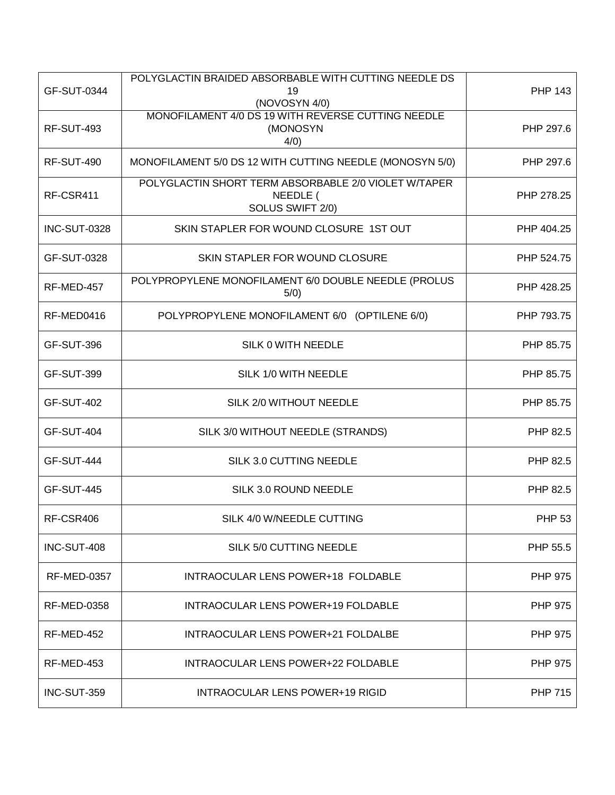| GF-SUT-0344         | POLYGLACTIN BRAIDED ABSORBABLE WITH CUTTING NEEDLE DS<br>19<br>(NOVOSYN 4/0)         | <b>PHP 143</b> |
|---------------------|--------------------------------------------------------------------------------------|----------------|
| <b>RF-SUT-493</b>   | MONOFILAMENT 4/0 DS 19 WITH REVERSE CUTTING NEEDLE<br>(MONOSYN<br>4/0)               | PHP 297.6      |
| <b>RF-SUT-490</b>   | MONOFILAMENT 5/0 DS 12 WITH CUTTING NEEDLE (MONOSYN 5/0)                             | PHP 297.6      |
| RF-CSR411           | POLYGLACTIN SHORT TERM ABSORBABLE 2/0 VIOLET W/TAPER<br>NEEDLE (<br>SOLUS SWIFT 2/0) | PHP 278.25     |
| <b>INC-SUT-0328</b> | SKIN STAPLER FOR WOUND CLOSURE 1ST OUT                                               | PHP 404.25     |
| GF-SUT-0328         | SKIN STAPLER FOR WOUND CLOSURE                                                       | PHP 524.75     |
| RF-MED-457          | POLYPROPYLENE MONOFILAMENT 6/0 DOUBLE NEEDLE (PROLUS<br>5/0)                         | PHP 428.25     |
| RF-MED0416          | POLYPROPYLENE MONOFILAMENT 6/0 (OPTILENE 6/0)                                        | PHP 793.75     |
| GF-SUT-396          | SILK 0 WITH NEEDLE                                                                   | PHP 85.75      |
| <b>GF-SUT-399</b>   | SILK 1/0 WITH NEEDLE                                                                 | PHP 85.75      |
| <b>GF-SUT-402</b>   | SILK 2/0 WITHOUT NEEDLE                                                              | PHP 85.75      |
| GF-SUT-404          | SILK 3/0 WITHOUT NEEDLE (STRANDS)                                                    | PHP 82.5       |
| <b>GF-SUT-444</b>   | SILK 3.0 CUTTING NEEDLE                                                              | PHP 82.5       |
| <b>GF-SUT-445</b>   | SILK 3.0 ROUND NEEDLE                                                                | PHP 82.5       |
| RF-CSR406           | SILK 4/0 W/NEEDLE CUTTING                                                            | <b>PHP 53</b>  |
| INC-SUT-408         | SILK 5/0 CUTTING NEEDLE                                                              | PHP 55.5       |
| <b>RF-MED-0357</b>  | INTRAOCULAR LENS POWER+18 FOLDABLE                                                   | <b>PHP 975</b> |
| <b>RF-MED-0358</b>  | INTRAOCULAR LENS POWER+19 FOLDABLE                                                   | <b>PHP 975</b> |
| RF-MED-452          | INTRAOCULAR LENS POWER+21 FOLDALBE                                                   | <b>PHP 975</b> |
| RF-MED-453          | INTRAOCULAR LENS POWER+22 FOLDABLE                                                   | <b>PHP 975</b> |
| INC-SUT-359         | <b>INTRAOCULAR LENS POWER+19 RIGID</b>                                               | <b>PHP 715</b> |